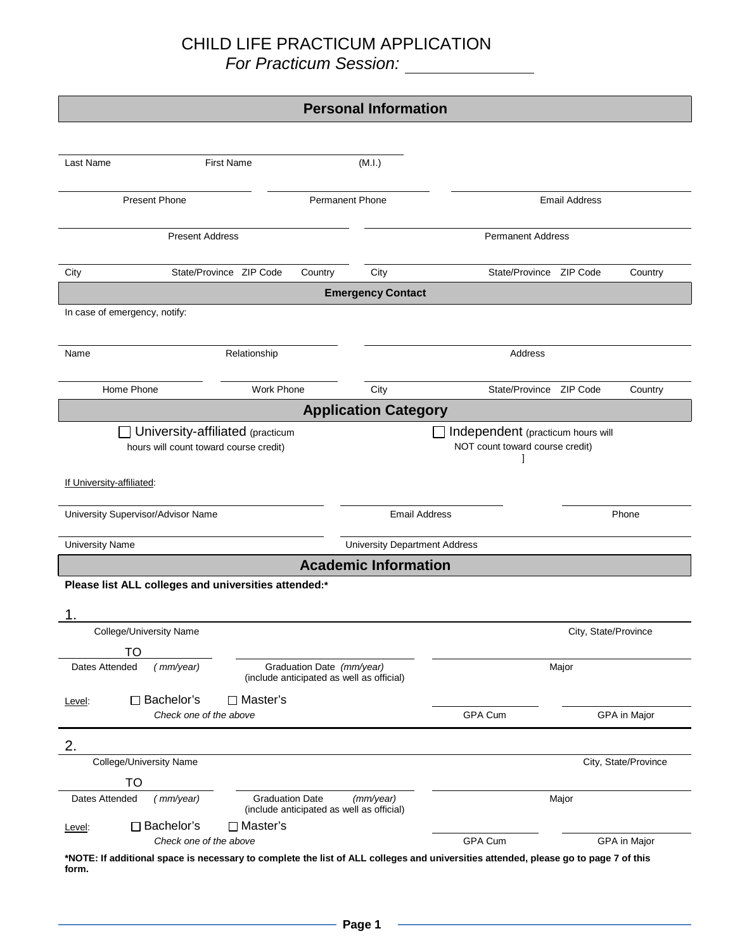|                                                                                                                                                                                   |                                                                        | <b>Personal Information</b> |                          |                      |                      |
|-----------------------------------------------------------------------------------------------------------------------------------------------------------------------------------|------------------------------------------------------------------------|-----------------------------|--------------------------|----------------------|----------------------|
|                                                                                                                                                                                   |                                                                        |                             |                          |                      |                      |
| Last Name                                                                                                                                                                         | <b>First Name</b>                                                      | (M.I.)                      |                          |                      |                      |
| <b>Present Phone</b><br><b>Permanent Phone</b>                                                                                                                                    |                                                                        |                             | <b>Email Address</b>     |                      |                      |
| <b>Present Address</b>                                                                                                                                                            |                                                                        |                             | <b>Permanent Address</b> |                      |                      |
| City                                                                                                                                                                              | State/Province ZIP Code<br>Country                                     | City                        | State/Province ZIP Code  |                      | Country              |
|                                                                                                                                                                                   |                                                                        | <b>Emergency Contact</b>    |                          |                      |                      |
| In case of emergency, notify:                                                                                                                                                     |                                                                        |                             |                          |                      |                      |
| Name                                                                                                                                                                              | Relationship                                                           |                             | Address                  |                      |                      |
| Home Phone                                                                                                                                                                        | <b>Work Phone</b>                                                      | City                        | State/Province ZIP Code  |                      | Country              |
|                                                                                                                                                                                   |                                                                        | <b>Application Category</b> |                          |                      |                      |
| University-affiliated (practicum<br>□ Independent (practicum hours will<br>hours will count toward course credit)<br>NOT count toward course credit)<br>If University-affiliated: |                                                                        |                             |                          |                      |                      |
| University Supervisor/Advisor Name                                                                                                                                                | <b>Email Address</b><br>Phone                                          |                             |                          |                      |                      |
| <b>University Name</b>                                                                                                                                                            | <b>University Department Address</b>                                   |                             |                          |                      |                      |
|                                                                                                                                                                                   |                                                                        | <b>Academic Information</b> |                          |                      |                      |
| Please list ALL colleges and universities attended:*                                                                                                                              |                                                                        |                             |                          |                      |                      |
| College/University Name<br><b>TO</b>                                                                                                                                              |                                                                        |                             |                          | City, State/Province |                      |
| Dates Attended<br>(mm/year)                                                                                                                                                       | Graduation Date (mm/year)<br>(include anticipated as well as official) |                             | Major                    |                      |                      |
| $\Box$ Bachelor's<br>$\Box$ Master's<br>Level:<br>Check one of the above                                                                                                          |                                                                        |                             | GPA Cum<br>GPA in Major  |                      |                      |
| 2.                                                                                                                                                                                |                                                                        |                             |                          |                      |                      |
| College/University Name                                                                                                                                                           |                                                                        |                             |                          |                      | City, State/Province |
| <b>TO</b>                                                                                                                                                                         |                                                                        |                             |                          |                      |                      |
| Dates Attended<br>(mm/year)                                                                                                                                                       | <b>Graduation Date</b><br>(include anticipated as well as official)    | (mm/year)                   |                          | Major                |                      |
| □ Bachelor's<br>□ Master's<br>Level:<br>Check one of the above                                                                                                                    |                                                                        |                             | <b>GPA Cum</b>           |                      | GPA in Major         |
| *NOTE: If additional space is necessary to complete the list of ALL colleges and universities attended, please go to page 7 of this<br>form.                                      |                                                                        |                             |                          |                      |                      |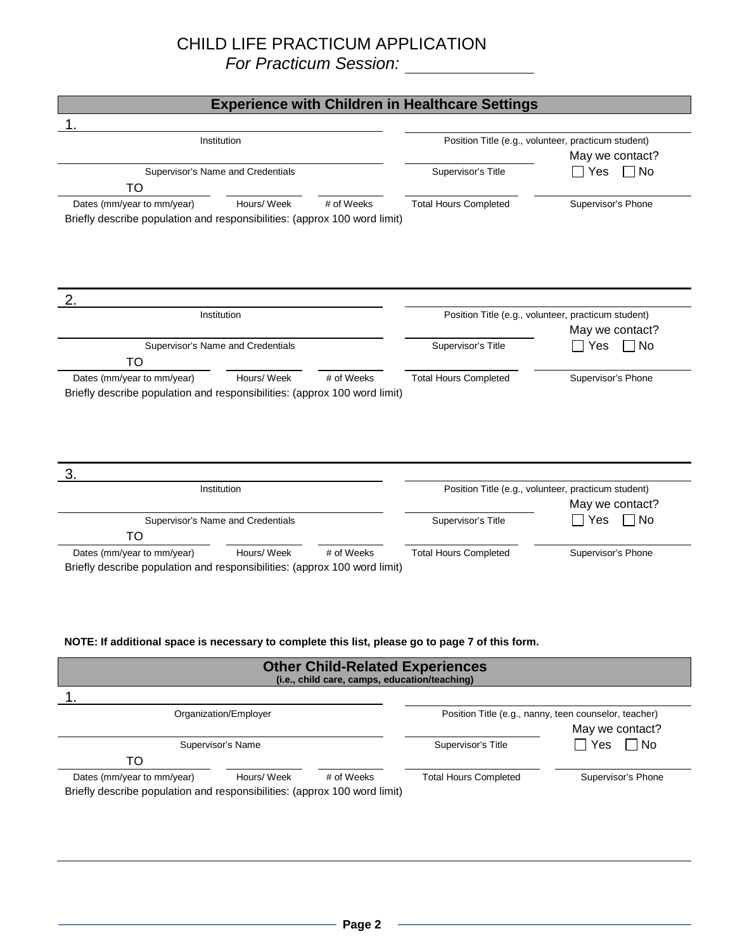| <b>Experience with Children in Healthcare Settings</b>                                                                                                                                     |                                                                        |                                                                          |  |
|--------------------------------------------------------------------------------------------------------------------------------------------------------------------------------------------|------------------------------------------------------------------------|--------------------------------------------------------------------------|--|
|                                                                                                                                                                                            |                                                                        |                                                                          |  |
| Institution                                                                                                                                                                                |                                                                        | Position Title (e.g., volunteer, practicum student)<br>May we contact?   |  |
| Supervisor's Name and Credentials<br>TO                                                                                                                                                    | Supervisor's Title                                                     | ∃No<br>Yes                                                               |  |
| Dates (mm/year to mm/year)<br>Hours/ Week<br># of Weeks<br>Briefly describe population and responsibilities: (approx 100 word limit)                                                       | <b>Total Hours Completed</b>                                           | Supervisor's Phone                                                       |  |
| 2.                                                                                                                                                                                         |                                                                        |                                                                          |  |
| Institution                                                                                                                                                                                |                                                                        | Position Title (e.g., volunteer, practicum student)                      |  |
|                                                                                                                                                                                            |                                                                        | May we contact?                                                          |  |
| Supervisor's Name and Credentials<br>TO                                                                                                                                                    | Supervisor's Title                                                     | $\Box$ No<br>$\Box$ Yes                                                  |  |
| Hours/ Week<br>Dates (mm/year to mm/year)<br># of Weeks<br>Briefly describe population and responsibilities: (approx 100 word limit)                                                       | <b>Total Hours Completed</b>                                           | Supervisor's Phone                                                       |  |
| 3.<br>Institution                                                                                                                                                                          | Position Title (e.g., volunteer, practicum student)<br>May we contact? |                                                                          |  |
| Supervisor's Name and Credentials<br>TO                                                                                                                                                    | Supervisor's Title                                                     | $\Box$ No<br>Yes                                                         |  |
| Hours/ Week<br># of Weeks<br>Dates (mm/year to mm/year)<br>Briefly describe population and responsibilities: (approx 100 word limit)                                                       | <b>Total Hours Completed</b>                                           | Supervisor's Phone                                                       |  |
| NOTE: If additional space is necessary to complete this list, please go to page 7 of this form.<br><b>Other Child-Related Experiences</b><br>(i.e., child care, camps, education/teaching) |                                                                        |                                                                          |  |
|                                                                                                                                                                                            |                                                                        |                                                                          |  |
| Organization/Employer                                                                                                                                                                      |                                                                        | Position Title (e.g., nanny, teen counselor, teacher)<br>May we contact? |  |
| Supervisor's Name<br><b>TO</b>                                                                                                                                                             | Supervisor's Title                                                     | $\Box$ No<br>Yes                                                         |  |
| Dates (mm/year to mm/year)<br>Hours/ Week<br># of Weeks<br>Briefly describe population and responsibilities: (approx 100 word limit)                                                       | <b>Total Hours Completed</b>                                           | Supervisor's Phone                                                       |  |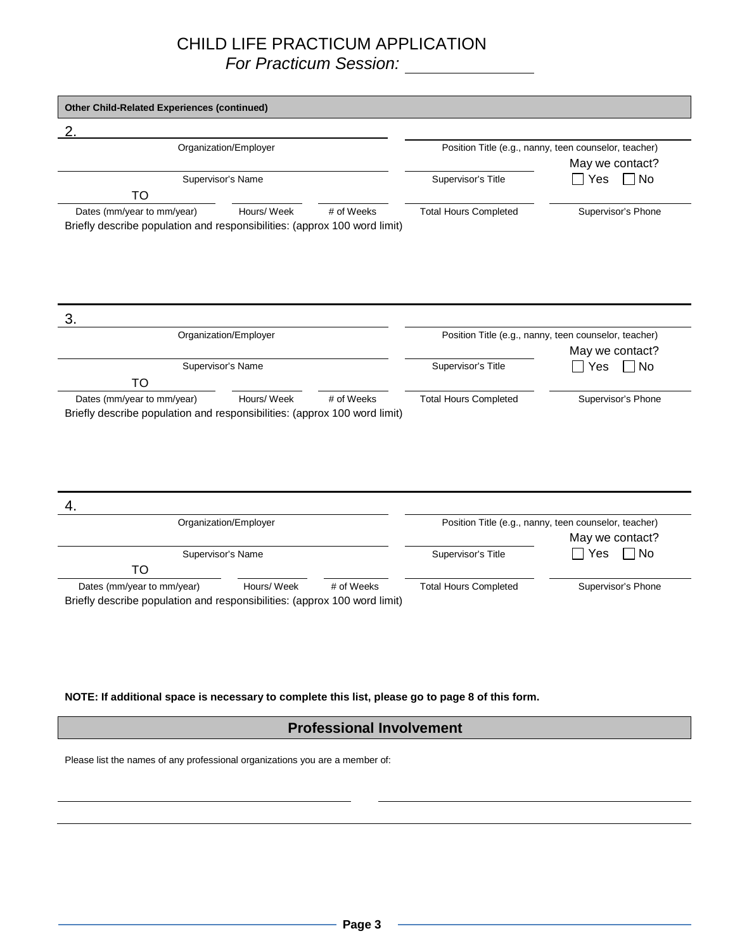| Organization/Employer                                                           |                       |            | Position Title (e.g., nanny, teen counselor, teacher) |                                                       |  |
|---------------------------------------------------------------------------------|-----------------------|------------|-------------------------------------------------------|-------------------------------------------------------|--|
|                                                                                 |                       |            |                                                       | May we contact?                                       |  |
|                                                                                 | Supervisor's Name     |            | Supervisor's Title                                    | Yes<br>∩ No                                           |  |
| <b>TO</b>                                                                       |                       |            |                                                       |                                                       |  |
| Dates (mm/year to mm/year)                                                      | Hours/ Week           | # of Weeks | <b>Total Hours Completed</b>                          | Supervisor's Phone                                    |  |
| Briefly describe population and responsibilities: (approx 100 word limit)       |                       |            |                                                       |                                                       |  |
|                                                                                 |                       |            |                                                       |                                                       |  |
|                                                                                 |                       |            |                                                       |                                                       |  |
|                                                                                 |                       |            |                                                       |                                                       |  |
|                                                                                 |                       |            |                                                       |                                                       |  |
|                                                                                 |                       |            |                                                       |                                                       |  |
| 3.                                                                              |                       |            |                                                       |                                                       |  |
|                                                                                 | Organization/Employer |            |                                                       | Position Title (e.g., nanny, teen counselor, teacher) |  |
|                                                                                 |                       |            |                                                       | May we contact?                                       |  |
|                                                                                 |                       |            |                                                       |                                                       |  |
|                                                                                 | Supervisor's Name     |            | Supervisor's Title                                    | No<br>Yes                                             |  |
|                                                                                 |                       |            |                                                       |                                                       |  |
| <b>TO</b>                                                                       |                       |            |                                                       |                                                       |  |
| Dates (mm/year to mm/year)                                                      | Hours/ Week           | # of Weeks | <b>Total Hours Completed</b>                          | Supervisor's Phone                                    |  |
|                                                                                 |                       |            |                                                       |                                                       |  |
|                                                                                 |                       |            |                                                       |                                                       |  |
|                                                                                 |                       |            |                                                       |                                                       |  |
|                                                                                 |                       |            |                                                       |                                                       |  |
|                                                                                 |                       |            |                                                       |                                                       |  |
|                                                                                 |                       |            |                                                       |                                                       |  |
|                                                                                 |                       |            |                                                       |                                                       |  |
| Briefly describe population and responsibilities: (approx 100 word limit)<br>4. |                       |            |                                                       |                                                       |  |
|                                                                                 | Organization/Employer |            |                                                       | Position Title (e.g., nanny, teen counselor, teacher) |  |
|                                                                                 |                       |            |                                                       | May we contact?                                       |  |
|                                                                                 | Supervisor's Name     |            | Supervisor's Title                                    | ∩ No<br>Yes                                           |  |
| TO                                                                              |                       |            |                                                       |                                                       |  |
| Dates (mm/year to mm/year)                                                      | Hours/ Week           | # of Weeks | <b>Total Hours Completed</b>                          | Supervisor's Phone                                    |  |

**NOTE: If additional space is necessary to complete this list, please go to page 8 of this form.**

#### **Professional Involvement**

Please list the names of any professional organizations you are a member of: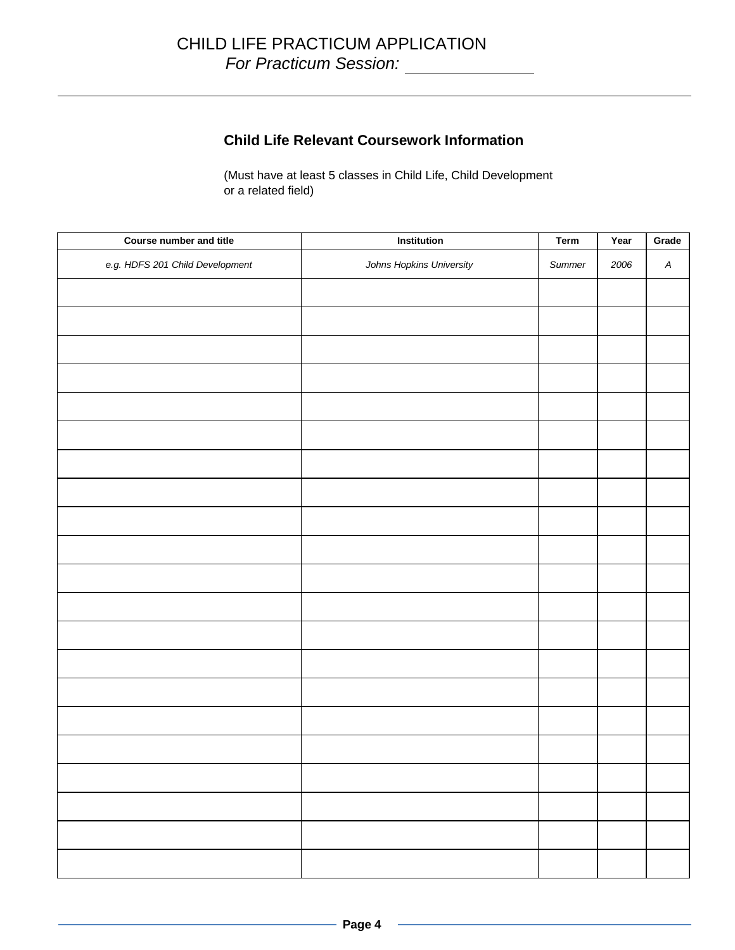#### **Child Life Relevant Coursework Information**

(Must have at least 5 classes in Child Life, Child Development or a related field)

| Course number and title         | Institution              | <b>Term</b> | Year | Grade            |
|---------------------------------|--------------------------|-------------|------|------------------|
| e.g. HDFS 201 Child Development | Johns Hopkins University | Summer      | 2006 | $\boldsymbol{A}$ |
|                                 |                          |             |      |                  |
|                                 |                          |             |      |                  |
|                                 |                          |             |      |                  |
|                                 |                          |             |      |                  |
|                                 |                          |             |      |                  |
|                                 |                          |             |      |                  |
|                                 |                          |             |      |                  |
|                                 |                          |             |      |                  |
|                                 |                          |             |      |                  |
|                                 |                          |             |      |                  |
|                                 |                          |             |      |                  |
|                                 |                          |             |      |                  |
|                                 |                          |             |      |                  |
|                                 |                          |             |      |                  |
|                                 |                          |             |      |                  |
|                                 |                          |             |      |                  |
|                                 |                          |             |      |                  |
|                                 |                          |             |      |                  |
|                                 |                          |             |      |                  |
|                                 |                          |             |      |                  |
|                                 |                          |             |      |                  |
|                                 |                          |             |      |                  |
|                                 |                          |             |      |                  |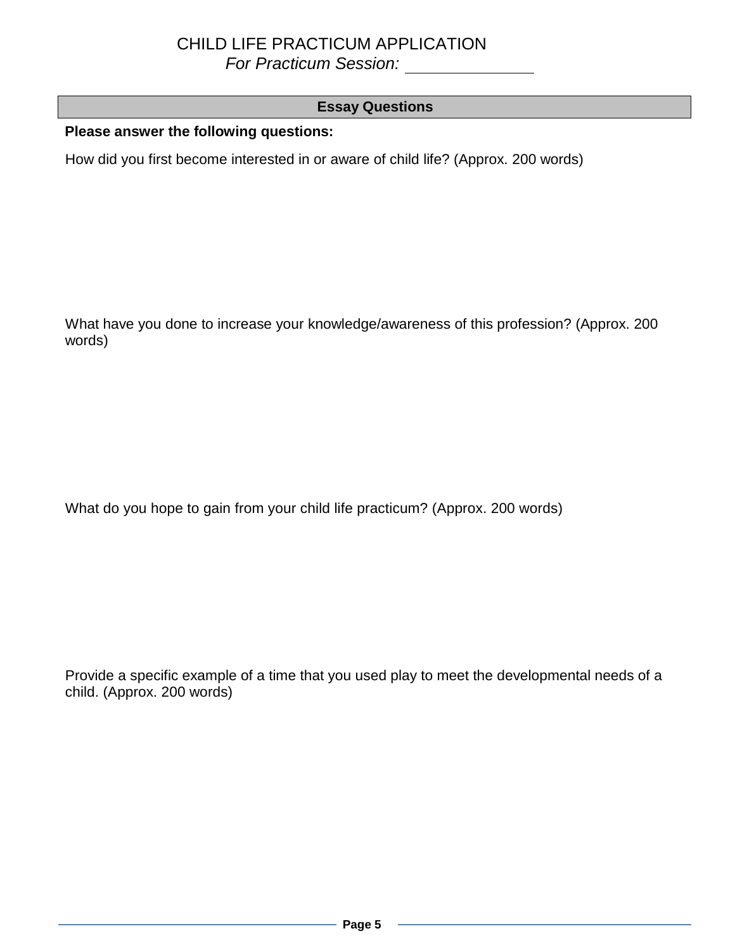### **Essay Questions**

**Please answer the following questions:**

How did you first become interested in or aware of child life? (Approx. 200 words)

What have you done to increase your knowledge/awareness of this profession? (Approx. 200 words)

What do you hope to gain from your child life practicum? (Approx. 200 words)

Provide a specific example of a time that you used play to meet the developmental needs of a child. (Approx. 200 words)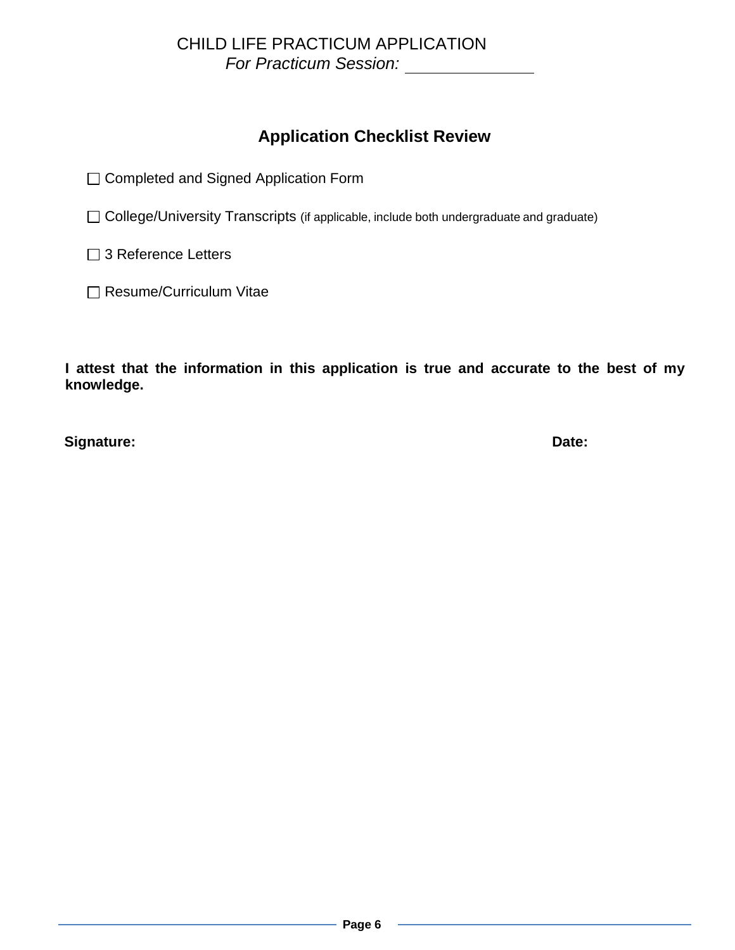# **Application Checklist Review**

□ Completed and Signed Application Form

□ College/University Transcripts (if applicable, include both undergraduate and graduate)

□ 3 Reference Letters

□ Resume/Curriculum Vitae

**I attest that the information in this application is true and accurate to the best of my knowledge.**

**Signature: Date:**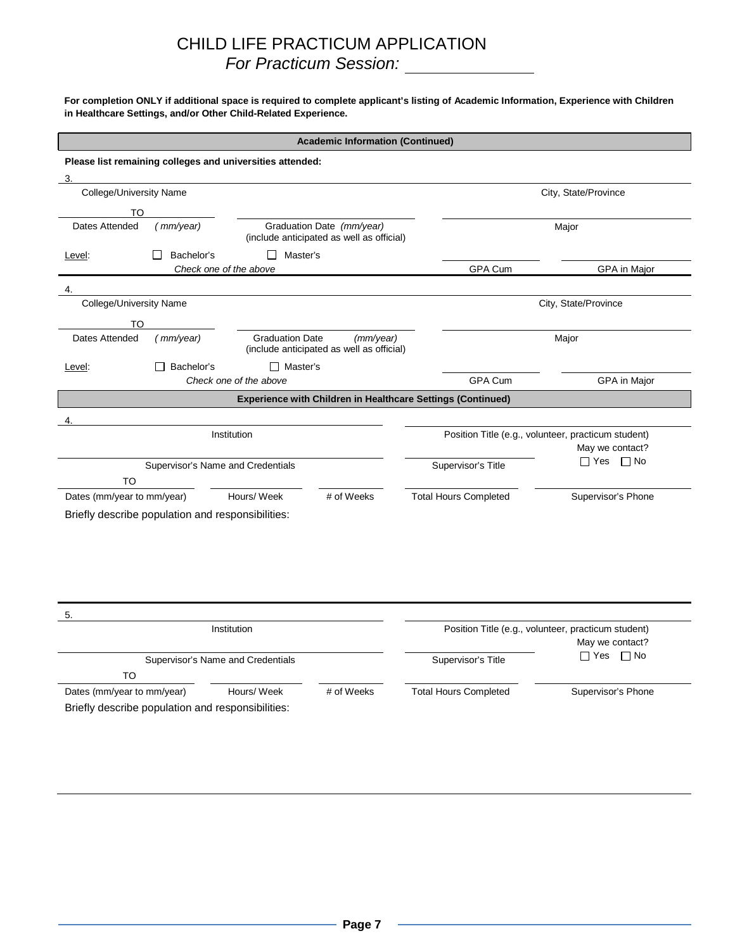#### For completion ONLY if additional space is required to complete applicant's listing of Academic Information, Experience with Children **in Healthcare Settings, and/or Other Child-Related Experience.**

|                                                                                                       |                                   |                                                           | <b>Academic Information (Continued)</b>                |                                                                        |                                                     |  |
|-------------------------------------------------------------------------------------------------------|-----------------------------------|-----------------------------------------------------------|--------------------------------------------------------|------------------------------------------------------------------------|-----------------------------------------------------|--|
|                                                                                                       |                                   | Please list remaining colleges and universities attended: |                                                        |                                                                        |                                                     |  |
| 3.                                                                                                    |                                   |                                                           |                                                        |                                                                        |                                                     |  |
| College/University Name                                                                               |                                   |                                                           |                                                        | City, State/Province                                                   |                                                     |  |
| TO                                                                                                    |                                   |                                                           |                                                        |                                                                        |                                                     |  |
| Graduation Date (mm/year)<br>Dates Attended<br>(mm/year)<br>(include anticipated as well as official) |                                   | Major                                                     |                                                        |                                                                        |                                                     |  |
| Level:                                                                                                | Bachelor's                        | $\Box$ Master's                                           |                                                        |                                                                        |                                                     |  |
|                                                                                                       |                                   | Check one of the above                                    |                                                        | GPA Cum                                                                | GPA in Major                                        |  |
| 4.                                                                                                    |                                   |                                                           |                                                        |                                                                        |                                                     |  |
| College/University Name                                                                               |                                   |                                                           |                                                        |                                                                        | City, State/Province                                |  |
| TO                                                                                                    |                                   |                                                           |                                                        |                                                                        |                                                     |  |
| Dates Attended                                                                                        | (mm/year)                         | <b>Graduation Date</b>                                    | (mm/year)<br>(include anticipated as well as official) |                                                                        | Major                                               |  |
| Level:                                                                                                | Bachelor's                        | $\Box$ Master's                                           |                                                        |                                                                        |                                                     |  |
|                                                                                                       |                                   | Check one of the above                                    |                                                        | <b>GPA Cum</b>                                                         | GPA in Major                                        |  |
|                                                                                                       |                                   |                                                           |                                                        | <b>Experience with Children in Healthcare Settings (Continued)</b>     |                                                     |  |
|                                                                                                       |                                   |                                                           |                                                        |                                                                        |                                                     |  |
| Institution                                                                                           |                                   |                                                           |                                                        | Position Title (e.g., volunteer, practicum student)<br>May we contact? |                                                     |  |
|                                                                                                       | Supervisor's Name and Credentials |                                                           |                                                        | Supervisor's Title                                                     | □ Yes □ No                                          |  |
| TO                                                                                                    |                                   |                                                           |                                                        |                                                                        |                                                     |  |
| Dates (mm/year to mm/year)                                                                            |                                   | Hours/ Week                                               | # of Weeks                                             | <b>Total Hours Completed</b>                                           | Supervisor's Phone                                  |  |
| Briefly describe population and responsibilities:                                                     |                                   |                                                           |                                                        |                                                                        |                                                     |  |
|                                                                                                       |                                   |                                                           |                                                        |                                                                        |                                                     |  |
|                                                                                                       |                                   |                                                           |                                                        |                                                                        |                                                     |  |
|                                                                                                       |                                   |                                                           |                                                        |                                                                        |                                                     |  |
|                                                                                                       |                                   |                                                           |                                                        |                                                                        |                                                     |  |
| 5.                                                                                                    |                                   |                                                           |                                                        |                                                                        |                                                     |  |
|                                                                                                       |                                   | Institution                                               |                                                        |                                                                        | Position Title (e.g., volunteer, practicum student) |  |
|                                                                                                       |                                   |                                                           |                                                        |                                                                        | May we contact?<br>$\Box$ Yes $\Box$ No             |  |
| TO                                                                                                    | Supervisor's Name and Credentials |                                                           |                                                        | Supervisor's Title                                                     |                                                     |  |
| Dates (mm/year to mm/year)                                                                            |                                   | Hours/ Week                                               | # of Weeks                                             | <b>Total Hours Completed</b>                                           | Supervisor's Phone                                  |  |

Briefly describe population and responsibilities: